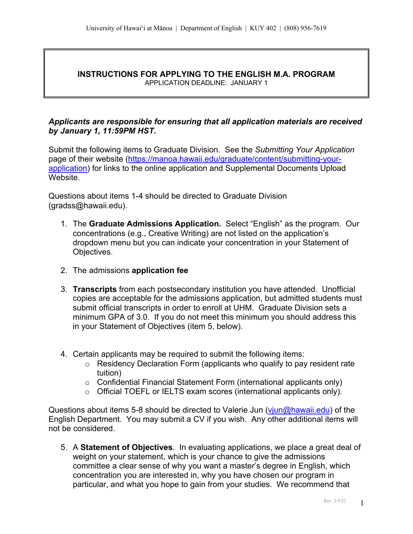#### **INSTRUCTIONS FOR APPLYING TO THE ENGLISH M.A. PROGRAM** APPLICATION DEADLINE: JANUARY 1

# *Applicants are responsible for ensuring that all application materials are received by January 1, 11:59PM HST***.**

Submit the following items to Graduate Division. See the *Submitting Your Application*  page of their website (https://manoa.hawaii.edu/graduate/content/submitting-yourapplication) for links to the online application and Supplemental Documents Upload Website.

Questions about items 1-4 should be directed to Graduate Division (gradss@hawaii.edu).

- 1. The **Graduate Admissions Application.** Select "English" as the program. Our concentrations (e.g., Creative Writing) are not listed on the application's dropdown menu but you can indicate your concentration in your Statement of Objectives.
- 2. The admissions **application fee**
- 3. **Transcripts** from each postsecondary institution you have attended. Unofficial copies are acceptable for the admissions application, but admitted students must submit official transcripts in order to enroll at UHM. Graduate Division sets a minimum GPA of 3.0. If you do not meet this minimum you should address this in your Statement of Objectives (item 5, below).
- 4. Certain applicants may be required to submit the following items:
	- o Residency Declaration Form (applicants who qualify to pay resident rate tuition)
	- o Confidential Financial Statement Form (international applicants only)
	- o Official TOEFL or IELTS exam scores (international applicants only).

Questions about items 5-8 should be directed to Valerie Jun (viun@hawaii.edu) of the English Department. You may submit a CV if you wish. Any other additional items will not be considered.

5. A **Statement of Objectives**. In evaluating applications, we place a great deal of weight on your statement, which is your chance to give the admissions committee a clear sense of why you want a master's degree in English, which concentration you are interested in, why you have chosen our program in particular, and what you hope to gain from your studies. We recommend that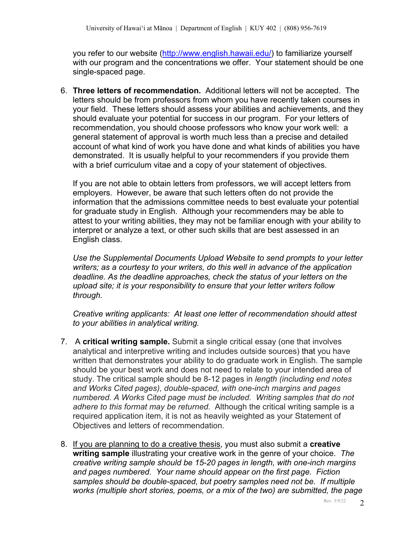you refer to our website (http://www.english.hawaii.edu/) to familiarize yourself with our program and the concentrations we offer. Your statement should be one single-spaced page.

6. **Three letters of recommendation.** Additional letters will not be accepted. The letters should be from professors from whom you have recently taken courses in your field. These letters should assess your abilities and achievements, and they should evaluate your potential for success in our program. For your letters of recommendation, you should choose professors who know your work well: a general statement of approval is worth much less than a precise and detailed account of what kind of work you have done and what kinds of abilities you have demonstrated. It is usually helpful to your recommenders if you provide them with a brief curriculum vitae and a copy of your statement of objectives.

If you are not able to obtain letters from professors, we will accept letters from employers. However, be aware that such letters often do not provide the information that the admissions committee needs to best evaluate your potential for graduate study in English. Although your recommenders may be able to attest to your writing abilities, they may not be familiar enough with your ability to interpret or analyze a text, or other such skills that are best assessed in an English class.

*Use the Supplemental Documents Upload Website to send prompts to your letter writers; as a courtesy to your writers, do this well in advance of the application deadline. As the deadline approaches, check the status of your letters on the upload site; it is your responsibility to ensure that your letter writers follow through.*

*Creative writing applicants: At least one letter of recommendation should attest to your abilities in analytical writing.*

- 7. A **critical writing sample.** Submit a single critical essay (one that involves analytical and interpretive writing and includes outside sources) that you have written that demonstrates your ability to do graduate work in English. The sample should be your best work and does not need to relate to your intended area of study. The critical sample should be 8-12 pages in *length (including end notes and Works Cited pages), double-spaced, with one-inch margins and pages numbered. A Works Cited page must be included. Writing samples that do not adhere to this format may be returned.* Although the critical writing sample is a required application item, it is not as heavily weighted as your Statement of Objectives and letters of recommendation.
- 8. If you are planning to do a creative thesis, you must also submit a **creative writing sample** illustrating your creative work in the genre of your choice. *The creative writing sample should be 15-20 pages in length, with one-inch margins and pages numbered. Your name should appear on the first page. Fiction samples should be double-spaced, but poetry samples need not be. If multiple works (multiple short stories, poems, or a mix of the two) are submitted, the page*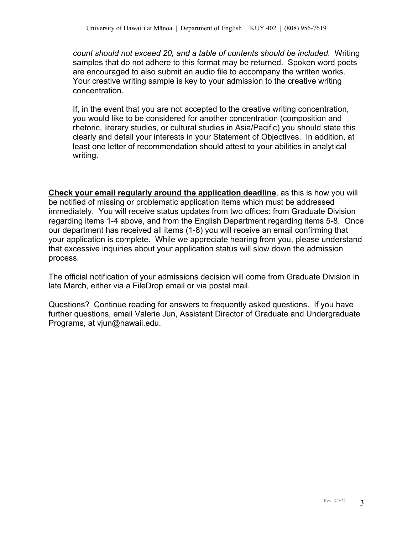*count should not exceed 20, and a table of contents should be included.* Writing samples that do not adhere to this format may be returned. Spoken word poets are encouraged to also submit an audio file to accompany the written works. Your creative writing sample is key to your admission to the creative writing concentration.

If, in the event that you are not accepted to the creative writing concentration, you would like to be considered for another concentration (composition and rhetoric, literary studies, or cultural studies in Asia/Pacific) you should state this clearly and detail your interests in your Statement of Objectives. In addition, at least one letter of recommendation should attest to your abilities in analytical writing.

**Check your email regularly around the application deadline**, as this is how you will be notified of missing or problematic application items which must be addressed immediately. You will receive status updates from two offices: from Graduate Division regarding items 1-4 above, and from the English Department regarding items 5-8. Once our department has received all items (1-8) you will receive an email confirming that your application is complete. While we appreciate hearing from you, please understand that excessive inquiries about your application status will slow down the admission process.

The official notification of your admissions decision will come from Graduate Division in late March, either via a FileDrop email or via postal mail.

Questions? Continue reading for answers to frequently asked questions. If you have further questions, email Valerie Jun, Assistant Director of Graduate and Undergraduate Programs, at vjun@hawaii.edu.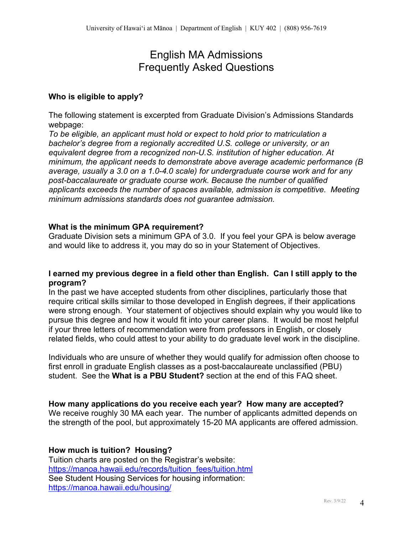# English MA Admissions Frequently Asked Questions

## **Who is eligible to apply?**

The following statement is excerpted from Graduate Division's Admissions Standards webpage:

*To be eligible, an applicant must hold or expect to hold prior to matriculation a bachelor's degree from a regionally accredited U.S. college or university, or an equivalent degree from a recognized non-U.S. institution of higher education. At minimum, the applicant needs to demonstrate above average academic performance (B average, usually a 3.0 on a 1.0-4.0 scale) for undergraduate course work and for any post-baccalaureate or graduate course work. Because the number of qualified applicants exceeds the number of spaces available, admission is competitive. Meeting minimum admissions standards does not guarantee admission.*

# **What is the minimum GPA requirement?**

Graduate Division sets a minimum GPA of 3.0. If you feel your GPA is below average and would like to address it, you may do so in your Statement of Objectives.

#### **I earned my previous degree in a field other than English. Can I still apply to the program?**

In the past we have accepted students from other disciplines, particularly those that require critical skills similar to those developed in English degrees, if their applications were strong enough. Your statement of objectives should explain why you would like to pursue this degree and how it would fit into your career plans. It would be most helpful if your three letters of recommendation were from professors in English, or closely related fields, who could attest to your ability to do graduate level work in the discipline.

Individuals who are unsure of whether they would qualify for admission often choose to first enroll in graduate English classes as a post-baccalaureate unclassified (PBU) student. See the **What is a PBU Student?** section at the end of this FAQ sheet.

#### **How many applications do you receive each year? How many are accepted?**

We receive roughly 30 MA each year. The number of applicants admitted depends on the strength of the pool, but approximately 15-20 MA applicants are offered admission.

# **How much is tuition? Housing?**

Tuition charts are posted on the Registrar's website: https://manoa.hawaii.edu/records/tuition\_fees/tuition.html See Student Housing Services for housing information: https://manoa.hawaii.edu/housing/